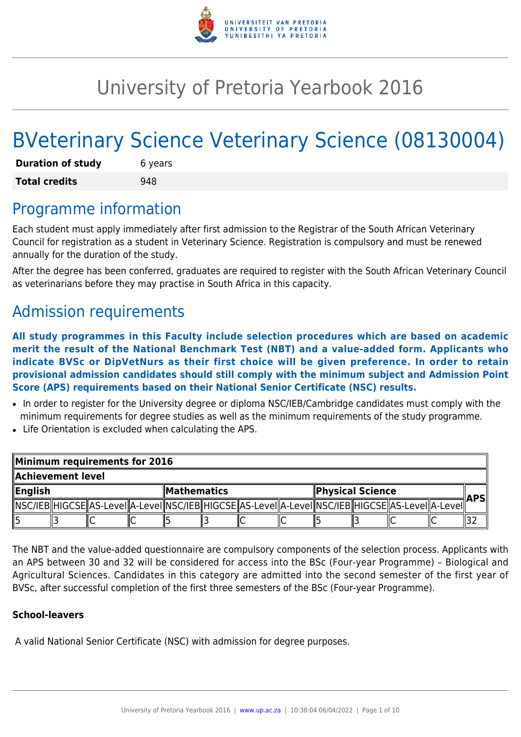

# University of Pretoria Yearbook 2016

# BVeterinary Science Veterinary Science (08130004)

| <b>Duration of study</b> | 6 years |  |  |  |
|--------------------------|---------|--|--|--|
| <b>Total credits</b>     | 948     |  |  |  |

### Programme information

Each student must apply immediately after first admission to the Registrar of the South African Veterinary Council for registration as a student in Veterinary Science. Registration is compulsory and must be renewed annually for the duration of the study.

After the degree has been conferred, graduates are required to register with the South African Veterinary Council as veterinarians before they may practise in South Africa in this capacity.

# Admission requirements

**All study programmes in this Faculty include selection procedures which are based on academic merit the result of the National Benchmark Test (NBT) and a value-added form. Applicants who indicate BVSc or DipVetNurs as their first choice will be given preference. In order to retain provisional admission candidates should still comply with the minimum subject and Admission Point Score (APS) requirements based on their National Senior Certificate (NSC) results.**

- In order to register for the University degree or diploma NSC/IEB/Cambridge candidates must comply with the minimum requirements for degree studies as well as the minimum requirements of the study programme.
- Life Orientation is excluded when calculating the APS.

| Minimum requirements for 2016 |  |  |                    |  |  |                                                                                                              |  |  |  |            |  |  |
|-------------------------------|--|--|--------------------|--|--|--------------------------------------------------------------------------------------------------------------|--|--|--|------------|--|--|
| Achievement level             |  |  |                    |  |  |                                                                                                              |  |  |  |            |  |  |
| $\ $ English                  |  |  | <b>Mathematics</b> |  |  | <b>Physical Science</b>                                                                                      |  |  |  | <b>APS</b> |  |  |
|                               |  |  |                    |  |  | [ NSC/IEB  HIGCSE  AS-Level  A-Level  NSC/IEB  HIGCSE  AS-Level  A-Level  NSC/IEB  HIGCSE  AS-Level  A-Level |  |  |  |            |  |  |
|                               |  |  |                    |  |  |                                                                                                              |  |  |  |            |  |  |

The NBT and the value-added questionnaire are compulsory components of the selection process. Applicants with an APS between 30 and 32 will be considered for access into the BSc (Four-year Programme) – Biological and Agricultural Sciences. Candidates in this category are admitted into the second semester of the first year of BVSc, after successful completion of the first three semesters of the BSc (Four-year Programme).

#### **School-leavers**

A valid National Senior Certificate (NSC) with admission for degree purposes.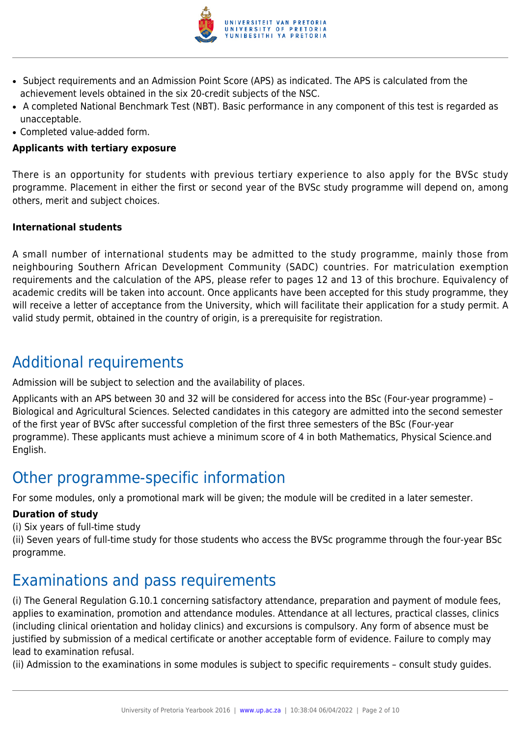

- Subject requirements and an Admission Point Score (APS) as indicated. The APS is calculated from the achievement levels obtained in the six 20-credit subjects of the NSC.
- A completed National Benchmark Test (NBT). Basic performance in any component of this test is regarded as unacceptable.
- Completed value-added form.

#### **Applicants with tertiary exposure**

There is an opportunity for students with previous tertiary experience to also apply for the BVSc study programme. Placement in either the first or second year of the BVSc study programme will depend on, among others, merit and subject choices.

#### **International students**

A small number of international students may be admitted to the study programme, mainly those from neighbouring Southern African Development Community (SADC) countries. For matriculation exemption requirements and the calculation of the APS, please refer to pages 12 and 13 of this brochure. Equivalency of academic credits will be taken into account. Once applicants have been accepted for this study programme, they will receive a letter of acceptance from the University, which will facilitate their application for a study permit. A valid study permit, obtained in the country of origin, is a prerequisite for registration.

### Additional requirements

Admission will be subject to selection and the availability of places.

Applicants with an APS between 30 and 32 will be considered for access into the BSc (Four-year programme) – Biological and Agricultural Sciences. Selected candidates in this category are admitted into the second semester of the first year of BVSc after successful completion of the first three semesters of the BSc (Four-year programme). These applicants must achieve a minimum score of 4 in both Mathematics, Physical Science.and English.

### Other programme-specific information

For some modules, only a promotional mark will be given; the module will be credited in a later semester.

#### **Duration of study**

(i) Six years of full-time study

(ii) Seven years of full-time study for those students who access the BVSc programme through the four-year BSc programme.

### Examinations and pass requirements

(i) The General Regulation G.10.1 concerning satisfactory attendance, preparation and payment of module fees, applies to examination, promotion and attendance modules. Attendance at all lectures, practical classes, clinics (including clinical orientation and holiday clinics) and excursions is compulsory. Any form of absence must be justified by submission of a medical certificate or another acceptable form of evidence. Failure to comply may lead to examination refusal.

(ii) Admission to the examinations in some modules is subject to specific requirements – consult study guides.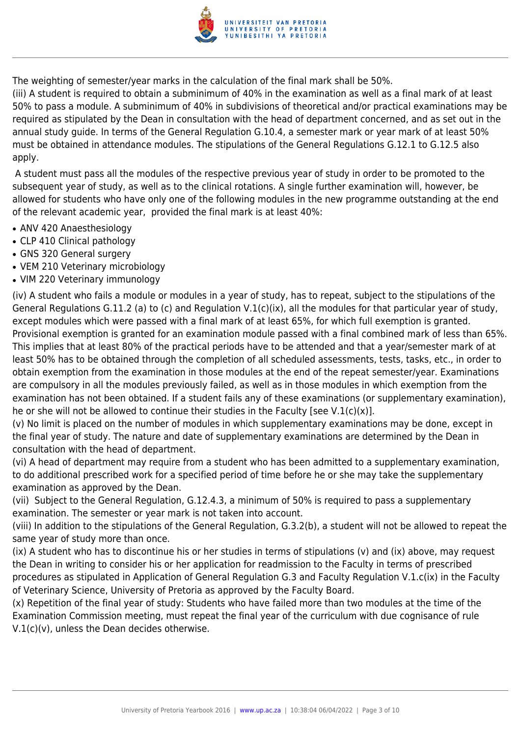

The weighting of semester/year marks in the calculation of the final mark shall be 50%.

(iii) A student is required to obtain a subminimum of 40% in the examination as well as a final mark of at least 50% to pass a module. A subminimum of 40% in subdivisions of theoretical and/or practical examinations may be required as stipulated by the Dean in consultation with the head of department concerned, and as set out in the annual study guide. In terms of the General Regulation G.10.4, a semester mark or year mark of at least 50% must be obtained in attendance modules. The stipulations of the General Regulations G.12.1 to G.12.5 also apply.

 A student must pass all the modules of the respective previous year of study in order to be promoted to the subsequent year of study, as well as to the clinical rotations. A single further examination will, however, be allowed for students who have only one of the following modules in the new programme outstanding at the end of the relevant academic year, provided the final mark is at least 40%:

- ANV 420 Anaesthesiology
- CLP 410 Clinical pathology
- GNS 320 General surgery
- VEM 210 Veterinary microbiology
- VIM 220 Veterinary immunology

(iv) A student who fails a module or modules in a year of study, has to repeat, subject to the stipulations of the General Regulations G.11.2 (a) to (c) and Regulation V.1(c)(ix), all the modules for that particular year of study, except modules which were passed with a final mark of at least 65%, for which full exemption is granted. Provisional exemption is granted for an examination module passed with a final combined mark of less than 65%. This implies that at least 80% of the practical periods have to be attended and that a year/semester mark of at least 50% has to be obtained through the completion of all scheduled assessments, tests, tasks, etc., in order to obtain exemption from the examination in those modules at the end of the repeat semester/year. Examinations are compulsory in all the modules previously failed, as well as in those modules in which exemption from the examination has not been obtained. If a student fails any of these examinations (or supplementary examination), he or she will not be allowed to continue their studies in the Faculty [see V.1(c)(x)].

(v) No limit is placed on the number of modules in which supplementary examinations may be done, except in the final year of study. The nature and date of supplementary examinations are determined by the Dean in consultation with the head of department.

(vi) A head of department may require from a student who has been admitted to a supplementary examination, to do additional prescribed work for a specified period of time before he or she may take the supplementary examination as approved by the Dean.

(vii) Subject to the General Regulation, G.12.4.3, a minimum of 50% is required to pass a supplementary examination. The semester or year mark is not taken into account.

(viii) In addition to the stipulations of the General Regulation, G.3.2(b), a student will not be allowed to repeat the same year of study more than once.

(ix) A student who has to discontinue his or her studies in terms of stipulations (v) and (ix) above, may request the Dean in writing to consider his or her application for readmission to the Faculty in terms of prescribed procedures as stipulated in Application of General Regulation G.3 and Faculty Regulation V.1.c(ix) in the Faculty of Veterinary Science, University of Pretoria as approved by the Faculty Board.

(x) Repetition of the final year of study: Students who have failed more than two modules at the time of the Examination Commission meeting, must repeat the final year of the curriculum with due cognisance of rule V.1(c)(v), unless the Dean decides otherwise.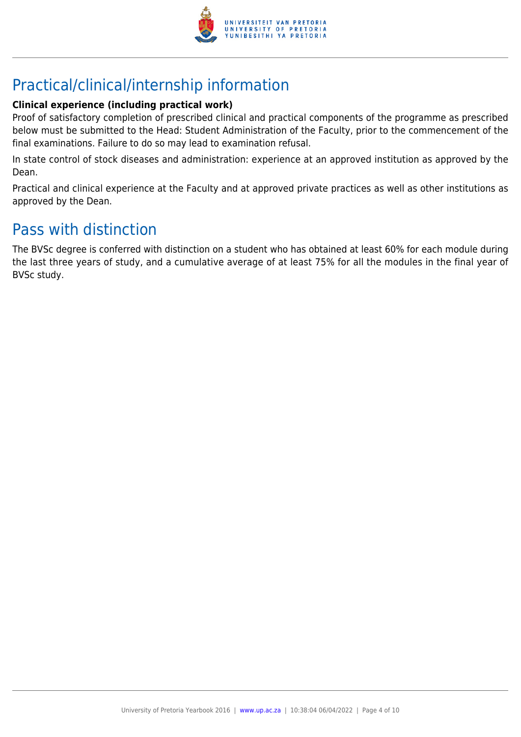

# Practical/clinical/internship information

#### **Clinical experience (including practical work)**

Proof of satisfactory completion of prescribed clinical and practical components of the programme as prescribed below must be submitted to the Head: Student Administration of the Faculty, prior to the commencement of the final examinations. Failure to do so may lead to examination refusal.

In state control of stock diseases and administration: experience at an approved institution as approved by the Dean.

Practical and clinical experience at the Faculty and at approved private practices as well as other institutions as approved by the Dean.

### Pass with distinction

The BVSc degree is conferred with distinction on a student who has obtained at least 60% for each module during the last three years of study, and a cumulative average of at least 75% for all the modules in the final year of BVSc study.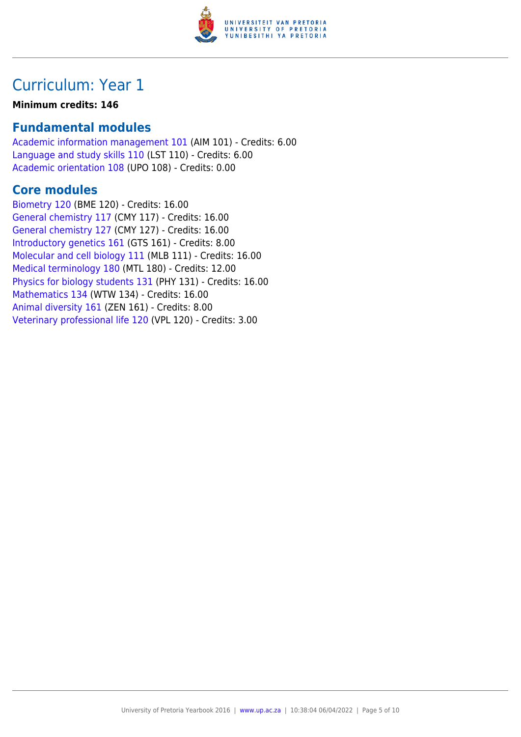

#### **Minimum credits: 146**

### **Fundamental modules**

[Academic information management 101](https://www.up.ac.za/yearbooks/2016/modules/view/AIM 101) (AIM 101) - Credits: 6.00 [Language and study skills 110](https://www.up.ac.za/yearbooks/2016/modules/view/LST 110) (LST 110) - Credits: 6.00 [Academic orientation 108](https://www.up.ac.za/yearbooks/2016/modules/view/UPO 108) (UPO 108) - Credits: 0.00

#### **Core modules**

[Biometry 120](https://www.up.ac.za/yearbooks/2016/modules/view/BME 120) (BME 120) - Credits: 16.00 [General chemistry 117](https://www.up.ac.za/yearbooks/2016/modules/view/CMY 117) (CMY 117) - Credits: 16.00 [General chemistry 127](https://www.up.ac.za/yearbooks/2016/modules/view/CMY 127) (CMY 127) - Credits: 16.00 [Introductory genetics 161](https://www.up.ac.za/yearbooks/2016/modules/view/GTS 161) (GTS 161) - Credits: 8.00 [Molecular and cell biology 111](https://www.up.ac.za/yearbooks/2016/modules/view/MLB 111) (MLB 111) - Credits: 16.00 [Medical terminology 180](https://www.up.ac.za/yearbooks/2016/modules/view/MTL 180) (MTL 180) - Credits: 12.00 [Physics for biology students 131](https://www.up.ac.za/yearbooks/2016/modules/view/PHY 131) (PHY 131) - Credits: 16.00 [Mathematics 134](https://www.up.ac.za/yearbooks/2016/modules/view/WTW 134) (WTW 134) - Credits: 16.00 [Animal diversity 161](https://www.up.ac.za/yearbooks/2016/modules/view/ZEN 161) (ZEN 161) - Credits: 8.00 [Veterinary professional life 120](https://www.up.ac.za/yearbooks/2016/modules/view/VPL 120) (VPL 120) - Credits: 3.00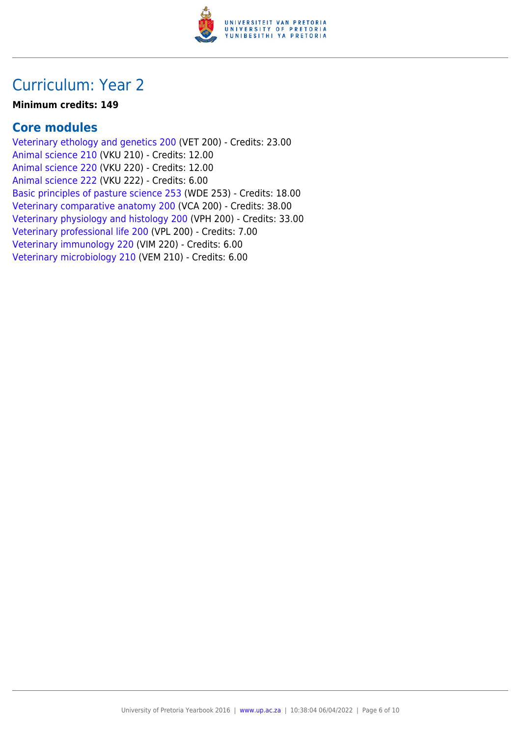

#### **Minimum credits: 149**

### **Core modules**

[Veterinary ethology and genetics 200](https://www.up.ac.za/yearbooks/2016/modules/view/VET 200) (VET 200) - Credits: 23.00 [Animal science 210](https://www.up.ac.za/yearbooks/2016/modules/view/VKU 210) (VKU 210) - Credits: 12.00 [Animal science 220](https://www.up.ac.za/yearbooks/2016/modules/view/VKU 220) (VKU 220) - Credits: 12.00 [Animal science 222](https://www.up.ac.za/yearbooks/2016/modules/view/VKU 222) (VKU 222) - Credits: 6.00 [Basic principles of pasture science 253](https://www.up.ac.za/yearbooks/2016/modules/view/WDE 253) (WDE 253) - Credits: 18.00 [Veterinary comparative anatomy 200](https://www.up.ac.za/yearbooks/2016/modules/view/VCA 200) (VCA 200) - Credits: 38.00 [Veterinary physiology and histology 200](https://www.up.ac.za/yearbooks/2016/modules/view/VPH 200) (VPH 200) - Credits: 33.00 [Veterinary professional life 200](https://www.up.ac.za/yearbooks/2016/modules/view/VPL 200) (VPL 200) - Credits: 7.00 [Veterinary immunology 220](https://www.up.ac.za/yearbooks/2016/modules/view/VIM 220) (VIM 220) - Credits: 6.00 [Veterinary microbiology 210](https://www.up.ac.za/yearbooks/2016/modules/view/VEM 210) (VEM 210) - Credits: 6.00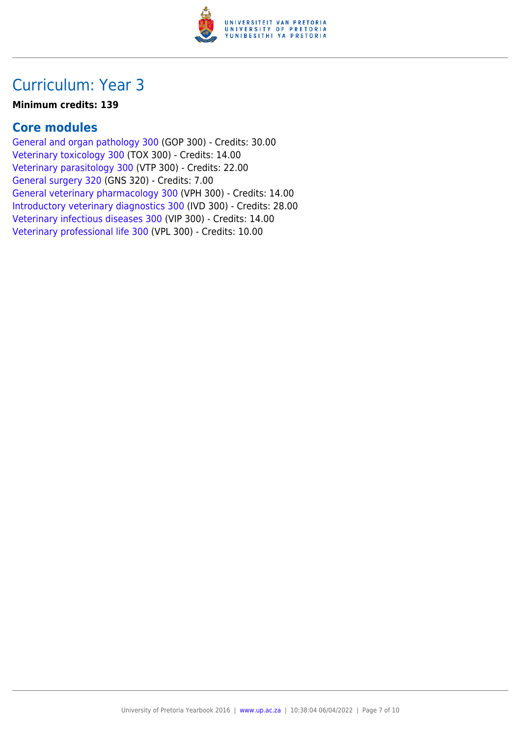

#### **Minimum credits: 139**

### **Core modules**

[General and organ pathology 300](https://www.up.ac.za/yearbooks/2016/modules/view/GOP 300) (GOP 300) - Credits: 30.00 [Veterinary toxicology 300](https://www.up.ac.za/yearbooks/2016/modules/view/TOX 300) (TOX 300) - Credits: 14.00 [Veterinary parasitology 300](https://www.up.ac.za/yearbooks/2016/modules/view/VTP 300) (VTP 300) - Credits: 22.00 [General surgery 320](https://www.up.ac.za/yearbooks/2016/modules/view/GNS 320) (GNS 320) - Credits: 7.00 [General veterinary pharmacology 300](https://www.up.ac.za/yearbooks/2016/modules/view/VPH 300) (VPH 300) - Credits: 14.00 [Introductory veterinary diagnostics 300](https://www.up.ac.za/yearbooks/2016/modules/view/IVD 300) (IVD 300) - Credits: 28.00 [Veterinary infectious diseases 300](https://www.up.ac.za/yearbooks/2016/modules/view/VIP 300) (VIP 300) - Credits: 14.00 [Veterinary professional life 300](https://www.up.ac.za/yearbooks/2016/modules/view/VPL 300) (VPL 300) - Credits: 10.00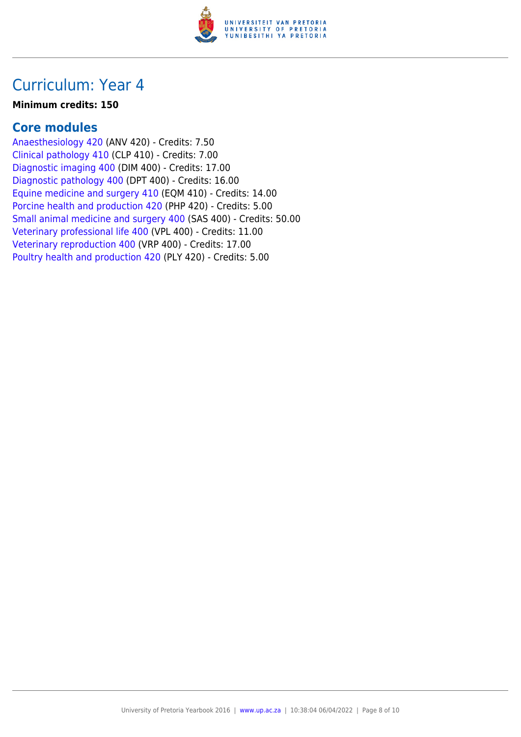

#### **Minimum credits: 150**

### **Core modules**

[Anaesthesiology 420](https://www.up.ac.za/yearbooks/2016/modules/view/ANV 420) (ANV 420) - Credits: 7.50 [Clinical pathology 410](https://www.up.ac.za/yearbooks/2016/modules/view/CLP 410) (CLP 410) - Credits: 7.00 [Diagnostic imaging 400](https://www.up.ac.za/yearbooks/2016/modules/view/DIM 400) (DIM 400) - Credits: 17.00 [Diagnostic pathology 400](https://www.up.ac.za/yearbooks/2016/modules/view/DPT 400) (DPT 400) - Credits: 16.00 [Equine medicine and surgery 410](https://www.up.ac.za/yearbooks/2016/modules/view/EQM 410) (EQM 410) - Credits: 14.00 [Porcine health and production 420](https://www.up.ac.za/yearbooks/2016/modules/view/PHP 420) (PHP 420) - Credits: 5.00 [Small animal medicine and surgery 400](https://www.up.ac.za/yearbooks/2016/modules/view/SAS 400) (SAS 400) - Credits: 50.00 [Veterinary professional life 400](https://www.up.ac.za/yearbooks/2016/modules/view/VPL 400) (VPL 400) - Credits: 11.00 [Veterinary reproduction 400](https://www.up.ac.za/yearbooks/2016/modules/view/VRP 400) (VRP 400) - Credits: 17.00 [Poultry health and production 420](https://www.up.ac.za/yearbooks/2016/modules/view/PLY 420) (PLY 420) - Credits: 5.00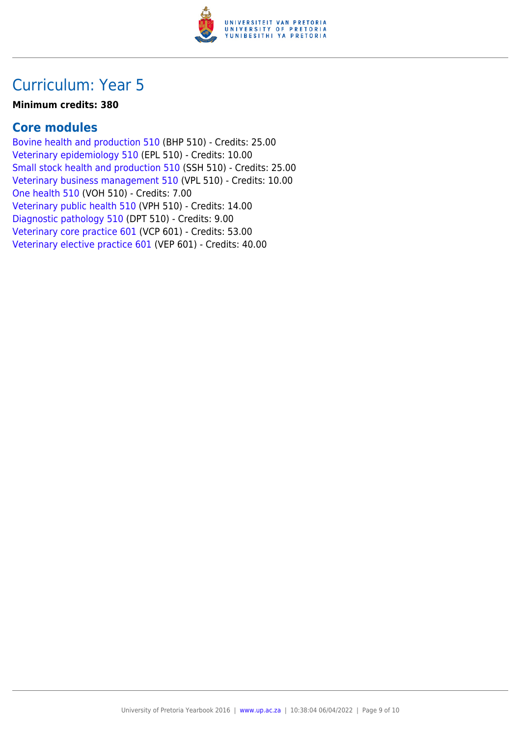

#### **Minimum credits: 380**

### **Core modules**

[Bovine health and production 510](https://www.up.ac.za/yearbooks/2016/modules/view/BHP 510) (BHP 510) - Credits: 25.00 [Veterinary epidemiology 510](https://www.up.ac.za/yearbooks/2016/modules/view/EPL 510) (EPL 510) - Credits: 10.00 [Small stock health and production 510](https://www.up.ac.za/yearbooks/2016/modules/view/SSH 510) (SSH 510) - Credits: 25.00 [Veterinary business management 510](https://www.up.ac.za/yearbooks/2016/modules/view/VPL 510) (VPL 510) - Credits: 10.00 [One health 510](https://www.up.ac.za/yearbooks/2016/modules/view/VOH 510) (VOH 510) - Credits: 7.00 [Veterinary public health 510](https://www.up.ac.za/yearbooks/2016/modules/view/VPH 510) (VPH 510) - Credits: 14.00 [Diagnostic pathology 510](https://www.up.ac.za/yearbooks/2016/modules/view/DPT 510) (DPT 510) - Credits: 9.00 [Veterinary core practice 601](https://www.up.ac.za/yearbooks/2016/modules/view/VCP 601) (VCP 601) - Credits: 53.00 [Veterinary elective practice 601](https://www.up.ac.za/yearbooks/2016/modules/view/VEP 601) (VEP 601) - Credits: 40.00